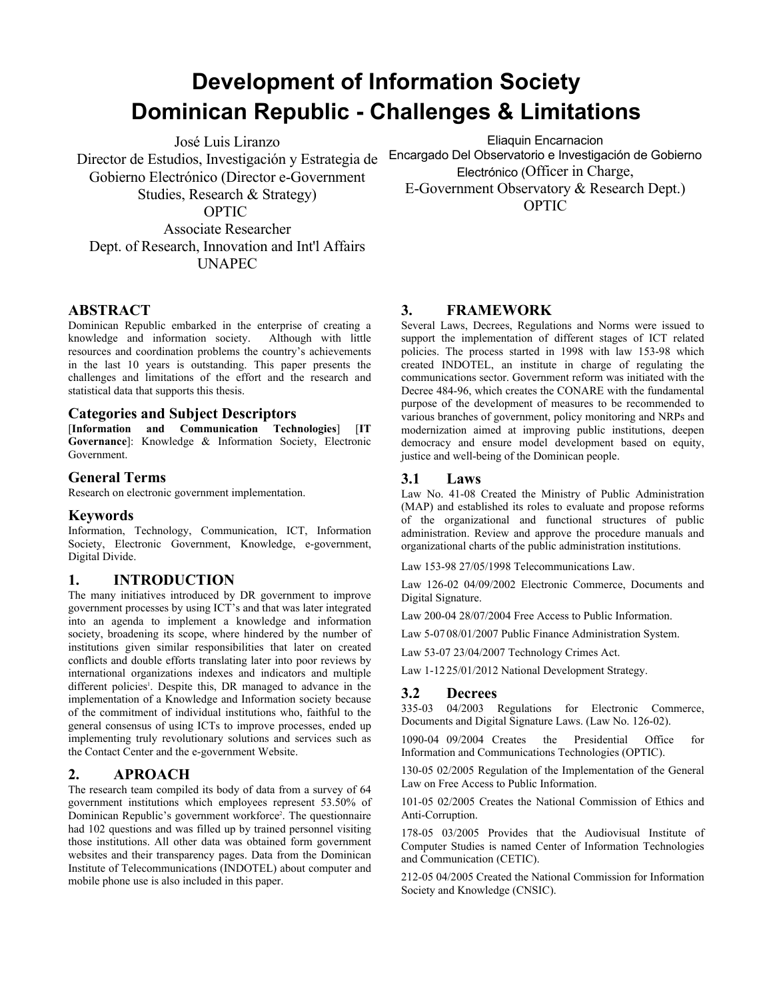# **Development of Information Society Dominican Republic Challenges & Limitations**

José Luis Liranzo Director de Estudios, Investigación y Estrategia de Gobierno Electrónico (Director e-Government Studies, Research & Strategy) OPTIC Associate Researcher Dept. of Research, Innovation and Int'l Affairs UNAPEC

Eliaquin Encarnacion Encargado Del Observatorio e Investigación de Gobierno Electrónico (Officer in Charge, EGovernment Observatory & Research Dept.) OPTIC

#### **ABSTRACT**

Dominican Republic embarked in the enterprise of creating a knowledge and information society. Although with little resources and coordination problems the country's achievements in the last 10 years is outstanding. This paper presents the challenges and limitations of the effort and the research and statistical data that supports this thesis.

#### **Categories and Subject Descriptors**

[**Information and Communication Technologies**] [**IT Governance**]: Knowledge & Information Society, Electronic Government.

### **General Terms**

Research on electronic government implementation.

#### **Keywords**

Information, Technology, Communication, ICT, Information Society, Electronic Government, Knowledge, e-government, Digital Divide.

#### **1. INTRODUCTION**

The many initiatives introduced by DR government to improve government processes by using ICT's and that was later integrated into an agenda to implement a knowledge and information society, broadening its scope, where hindered by the number of institutions given similar responsibilities that later on created conflicts and double efforts translating later into poor reviews by international organizations indexes and indicators and multiple different policies<sup>1</sup>. Despite this, DR managed to advance in the  $\sigma$ implementation of a Knowledge and Information society because  $3.2$ of the commitment of individual institutions who, faithful to the general consensus of using ICTs to improve processes, ended up implementing truly revolutionary solutions and services such as the Contact Center and the e-government Website.

#### **2. APROACH**

The research team compiled its body of data from a survey of 64 government institutions which employees represent 53.50% of Dominican Republic's government workforce<sup>2</sup>. The questionnaire Antihad 102 questions and was filled up by trained personnel visiting those institutions. All other data was obtained form government websites and their transparency pages. Data from the Dominican Institute of Telecommunications (INDOTEL) about computer and mobile phone use is also included in this paper.

#### **3. FRAMEWORK**

Several Laws, Decrees, Regulations and Norms were issued to support the implementation of different stages of ICT related policies. The process started in 1998 with law 153-98 which created INDOTEL, an institute in charge of regulating the communications sector. Government reform was initiated with the Decree 484-96, which creates the CONARE with the fundamental purpose of the development of measures to be recommended to various branches of government, policy monitoring and NRPs and modernization aimed at improving public institutions, deepen democracy and ensure model development based on equity, justice and well-being of the Dominican people.

#### **3.1 Laws**

Law No. 41-08 Created the Ministry of Public Administration (MAP) and established its roles to evaluate and propose reforms of the organizational and functional structures of public administration. Review and approve the procedure manuals and organizational charts of the public administration institutions.

Law 153-98 27/05/1998 Telecommunications Law.

Law 126-02 04/09/2002 Electronic Commerce, Documents and Digital Signature.

Law 200-04 28/07/2004 Free Access to Public Information.

Law 5-07 08/01/2007 Public Finance Administration System.

Law 53-07 23/04/2007 Technology Crimes Act.

Law 1-12 25/01/2012 National Development Strategy.

#### **3.2 Decrees**

33503 04/2003 Regulations for Electronic Commerce, Documents and Digital Signature Laws. (Law No. 126-02).

1090-04 09/2004 Creates the Presidential Office for Information and Communications Technologies (OPTIC).

130-05 02/2005 Regulation of the Implementation of the General Law on Free Access to Public Information.

101-05 02/2005 Creates the National Commission of Ethics and Anti-Corruption.

178-05 03/2005 Provides that the Audiovisual Institute of Computer Studies is named Center of Information Technologies and Communication (CETIC).

21205 04/2005 Created the National Commission for Information Society and Knowledge (CNSIC).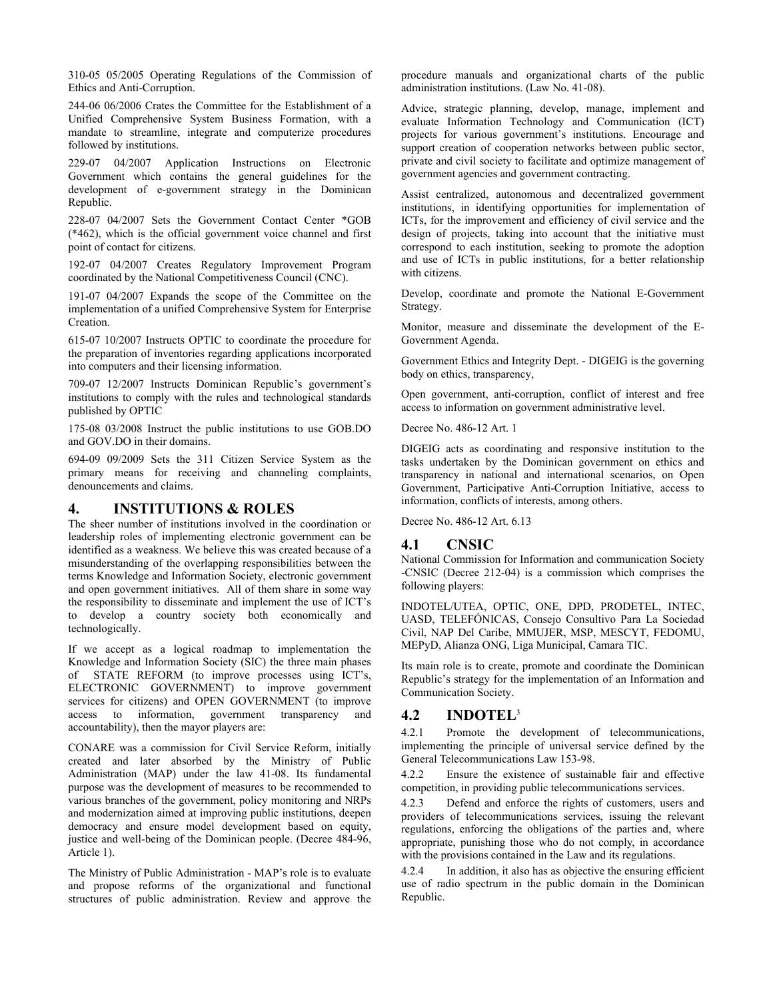310-05 05/2005 Operating Regulations of the Commission of Ethics and Anti-Corruption.

24406 06/2006 Crates the Committee for the Establishment of a Unified Comprehensive System Business Formation, with a mandate to streamline, integrate and computerize procedures followed by institutions.

229-07 04/2007 Application Instructions on Electronic Government which contains the general guidelines for the development of e-government strategy in the Dominican Republic.

228-07 04/2007 Sets the Government Contact Center \*GOB (\*462), which is the official government voice channel and first point of contact for citizens.

192-07 04/2007 Creates Regulatory Improvement Program coordinated by the National Competitiveness Council (CNC).

19107 04/2007 Expands the scope of the Committee on the implementation of a unified Comprehensive System for Enterprise Creation.

61507 10/2007 Instructs OPTIC to coordinate the procedure for the preparation of inventories regarding applications incorporated into computers and their licensing information.

709-07 12/2007 Instructs Dominican Republic's government's institutions to comply with the rules and technological standards published by OPTIC

175-08 03/2008 Instruct the public institutions to use GOB.DO and GOV.DO in their domains.

69409 09/2009 Sets the 311 Citizen Service System as the primary means for receiving and channeling complaints, denouncements and claims.

## **4. INSTITUTIONS & ROLES**

The sheer number of institutions involved in the coordination or leadership roles of implementing electronic government can be  $\overline{4.1}$ identified as a weakness. We believe this was created because of a misunderstanding of the overlapping responsibilities between the terms Knowledge and Information Society, electronic government and open government initiatives. All of them share in some way the responsibility to disseminate and implement the use of ICT's to develop a country society both economically and technologically.

If we accept as a logical roadmap to implementation the Knowledge and Information Society (SIC) the three main phases of STATE REFORM (to improve processes using ICT's, ELECTRONIC GOVERNMENT) to improve government services for citizens) and OPEN GOVERNMENT (to improve access to information, government transparency and 4.2 accountability), then the mayor players are:

CONARE was a commission for Civil Service Reform, initially created and later absorbed by the Ministry of Public Administration (MAP) under the law 41-08. Its fundamental 4.2.2 purpose was the development of measures to be recommended to various branches of the government, policy monitoring and NRPs  $\overrightarrow{a}$  2 and modernization aimed at improving public institutions, deepen democracy and ensure model development based on equity, justice and well-being of the Dominican people. (Decree 484-96, Article 1).

The Ministry of Public Administration - MAP's role is to evaluate 4.2.4 and propose reforms of the organizational and functional structures of public administration. Review and approve the

procedure manuals and organizational charts of the public administration institutions. (Law No. 41-08).

Advice, strategic planning, develop, manage, implement and evaluate Information Technology and Communication (ICT) projects for various government's institutions. Encourage and support creation of cooperation networks between public sector, private and civil society to facilitate and optimize management of government agencies and government contracting.

Assist centralized, autonomous and decentralized government institutions, in identifying opportunities for implementation of ICTs, for the improvement and efficiency of civil service and the design of projects, taking into account that the initiative must correspond to each institution, seeking to promote the adoption and use of ICTs in public institutions, for a better relationship with citizens.

Develop, coordinate and promote the National E-Government Strategy.

Monitor, measure and disseminate the development of the E-Government Agenda.

Government Ethics and Integrity Dept. DIGEIG is the governing body on ethics, transparency,

Open government, anti-corruption, conflict of interest and free access to information on government administrative level.

Decree No. 486-12 Art. 1

DIGEIG acts as coordinating and responsive institution to the tasks undertaken by the Dominican government on ethics and transparency in national and international scenarios, on Open Government, Participative Anti-Corruption Initiative, access to information, conflicts of interests, among others.

Decree No. 486-12 Art. 6.13

#### **4.1 CNSIC**

National Commission for Information and communication Society -CNSIC (Decree 212-04) is a commission which comprises the following players:

INDOTEL/UTEA, OPTIC, ONE, DPD, PRODETEL, INTEC, UASD, TELEFÓNICAS, Consejo Consultivo Para La Sociedad Civil, NAP Del Caribe, MMUJER, MSP, MESCYT, FEDOMU, MEPyD, Alianza ONG, Liga Municipal, Camara TIC.

Its main role is to create, promote and coordinate the Dominican Republic's strategy for the implementation of an Information and Communication Society.

#### **4.2 INDOTEL**<sup>3</sup>

4.2.1 Promote the development of telecommunications, implementing the principle of universal service defined by the General Telecommunications Law 153-98.

Ensure the existence of sustainable fair and effective competition, in providing public telecommunications services.

Defend and enforce the rights of customers, users and providers of telecommunications services, issuing the relevant regulations, enforcing the obligations of the parties and, where appropriate, punishing those who do not comply, in accordance with the provisions contained in the Law and its regulations.

In addition, it also has as objective the ensuring efficient use of radio spectrum in the public domain in the Dominican Republic.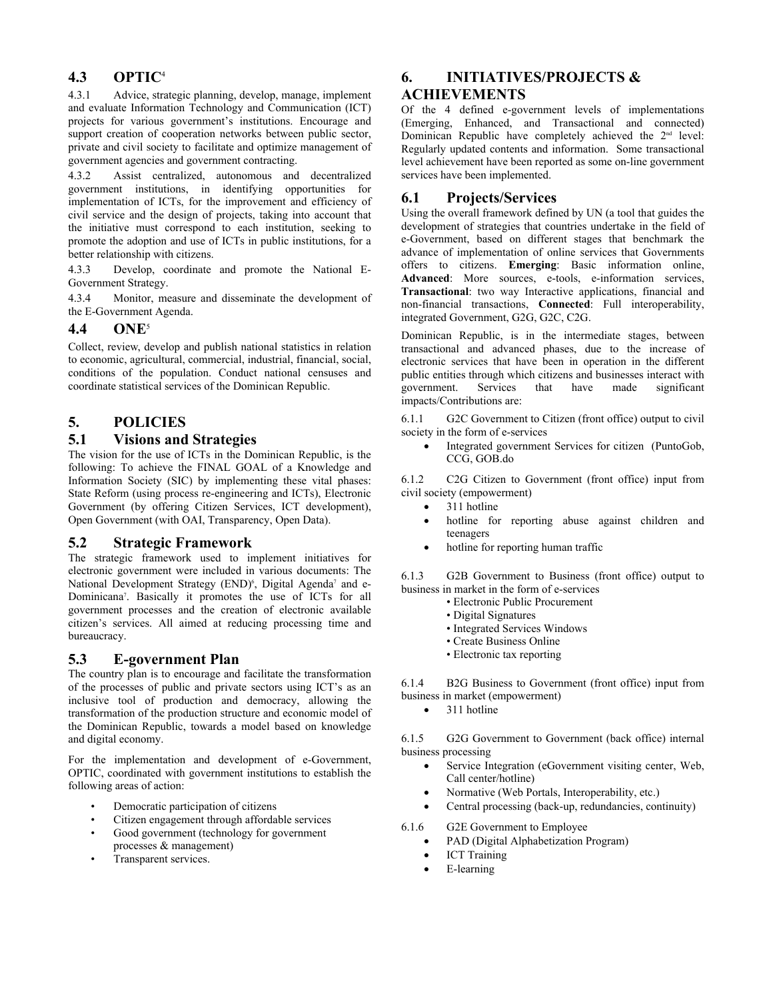# **4.3 OPTIC**<sup>4</sup>

4.3.1 Advice, strategic planning, develop, manage, implement and evaluate Information Technology and Communication (ICT) projects for various government's institutions. Encourage and support creation of cooperation networks between public sector, private and civil society to facilitate and optimize management of government agencies and government contracting.

4.3.2 Assist centralized, autonomous and decentralized government institutions, in identifying opportunities for<br>implementation of ICTs for the improvement and efficiency of  $\,6.1$ implementation of ICTs, for the improvement and efficiency of civil service and the design of projects, taking into account that the initiative must correspond to each institution, seeking to promote the adoption and use of ICTs in public institutions, for a better relationship with citizens.

4.3.3 Develop, coordinate and promote the National E-Government Strategy.

4.3.4 Monitor, measure and disseminate the development of the E-Government Agenda.

## **4.4 ONE**<sup>5</sup>

Collect, review, develop and publish national statistics in relation to economic, agricultural, commercial, industrial, financial, social, conditions of the population. Conduct national censuses and coordinate statistical services of the Dominican Republic.

## **5. POLICIES**

# **5.1 Visions and Strategies**

The vision for the use of ICTs in the Dominican Republic, is the following: To achieve the FINAL GOAL of a Knowledge and Information Society (SIC) by implementing these vital phases: 6.1.2 State Reform (using process re-engineering and ICTs), Electronic Government (by offering Citizen Services, ICT development), Open Government (with OAI, Transparency, Open Data).

#### **5.2 Strategic Framework**

The strategic framework used to implement initiatives for electronic government were included in various documents: The  $6.1.3$ National Development Strategy  $(END)^6$ , Digital Agenda<sup>7</sup> and e-Dominicana<sup>7</sup>. Basically it promotes the use of ICTs for all government processes and the creation of electronic available citizen's services. All aimed at reducing processing time and bureaucracy.

## **5.3 Egovernment Plan**

The country plan is to encourage and facilitate the transformation<br>of the processes of public and private sectors using IGT's as an  $6.1.4$ of the processes of public and private sectors using ICT's as an inclusive tool of production and democracy, allowing the busine transformation of the production structure and economic model of the Dominican Republic, towards a model based on knowledge and digital economy.

For the implementation and development of e-Government, OPTIC, coordinated with government institutions to establish the following areas of action:

- Democratic participation of citizens
- Citizen engagement through affordable services
- Good government (technology for government processes & management)
- Transparent services.

# **6. INITIATIVES/PROJECTS & ACHIEVEMENTS**

Of the 4 defined e-government levels of implementations (Emerging, Enhanced, and Transactional and connected) Dominican Republic have completely achieved the 2<sup>nd</sup> level: Regularly updated contents and information. Some transactional level achievement have been reported as some on-line government services have been implemented.

# **6.1 Projects/Services**

Using the overall framework defined by UN (a tool that guides the development of strategies that countries undertake in the field of eGovernment, based on different stages that benchmark the advance of implementation of online services that Governments offers to citizens. **Emerging**: Basic information online, Advanced: More sources, e-tools, e-information services, **Transactional**: two way Interactive applications, financial and non-financial transactions, **Connected**: Full interoperability, integrated Government, G2G, G2C, C2G.

Dominican Republic, is in the intermediate stages, between transactional and advanced phases, due to the increase of electronic services that have been in operation in the different public entities through which citizens and businesses interact with government. Services that have made significant that have made significant impacts/Contributions are:

6.1.1 G2C Government to Citizen (front office) output to civil society in the form of e-services

Integrated government Services for citizen (PuntoGob, CCG, GOB.do

C<sub>2G</sub> Citizen to Government (front office) input from civil society (empowerment)

- 311 hotline
- x hotline for reporting abuse against children and teenagers
- hotline for reporting human traffic

G2B Government to Business (front office) output to business in market in the form of e-services

- Electronic Public Procurement
- Digital Signatures
- Integrated Services Windows
- Create Business Online
- Electronic tax reporting

6.1.4 B2G Business to Government (front office) input from business in market (empowerment)

311 hotline

6.1.5 G2G Government to Government (back office) internal business processing

- Service Integration (eGovernment visiting center, Web, Call center/hotline)
- Normative (Web Portals, Interoperability, etc.)
- Central processing (back-up, redundancies, continuity)

6.1.6 G2E Government to Employee

- PAD (Digital Alphabetization Program)
- ICT Training
- E-learning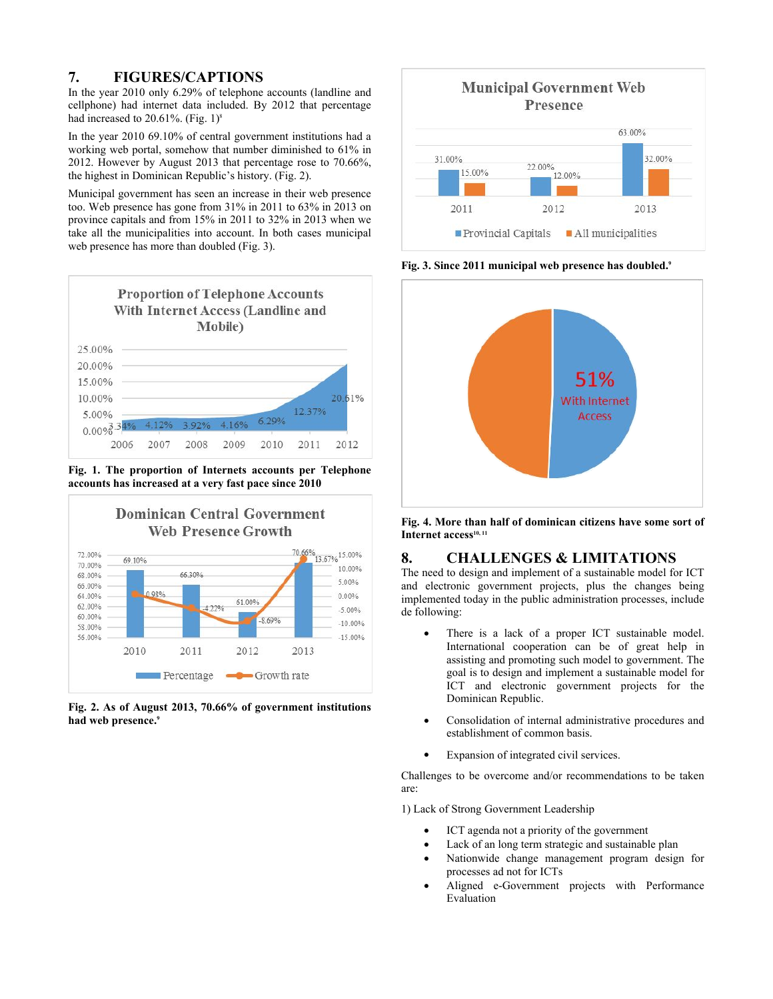# **7. FIGURES/CAPTIONS**

In the year 2010 only 6.29% of telephone accounts (landline and cellphone) had internet data included. By 2012 that percentage had increased to 20.61%. (Fig. 1)<sup>8</sup>

In the year 2010 69.10% of central government institutions had a working web portal, somehow that number diminished to 61% in 2012. However by August 2013 that percentage rose to 70.66%, the highest in Dominican Republic's history. (Fig. 2).

Municipal government has seen an increase in their web presence too. Web presence has gone from 31% in 2011 to 63% in 2013 on province capitals and from 15% in 2011 to 32% in 2013 when we take all the municipalities into account. In both cases municipal web presence has more than doubled (Fig. 3).



**Fig. 1. The proportion of Internets accounts per Telephone accounts has increased at a very fast pace since 2010**



**Fig. 2. As of August 2013, 70.66% of government institutions had web presence.<sup>9</sup>**



**Fig. 3. Since 2011 municipal web presence has doubled.<sup>9</sup>**



**Fig. 4. More than half of dominican citizens have some sort of Internet access10, 11**

# **8. CHALLENGES & LIMITATIONS**

The need to design and implement of a sustainable model for ICT and electronic government projects, plus the changes being implemented today in the public administration processes, include de following:

- There is a lack of a proper ICT sustainable model. International cooperation can be of great help in assisting and promoting such model to government. The goal is to design and implement a sustainable model for ICT and electronic government projects for the Dominican Republic.
- Consolidation of internal administrative procedures and establishment of common basis.
- Expansion of integrated civil services.

Challenges to be overcome and/or recommendations to be taken are:

1) Lack of Strong Government Leadership

- ICT agenda not a priority of the government
- Lack of an long term strategic and sustainable plan
- Nationwide change management program design for processes ad not for ICTs
- Aligned e-Government projects with Performance Evaluation